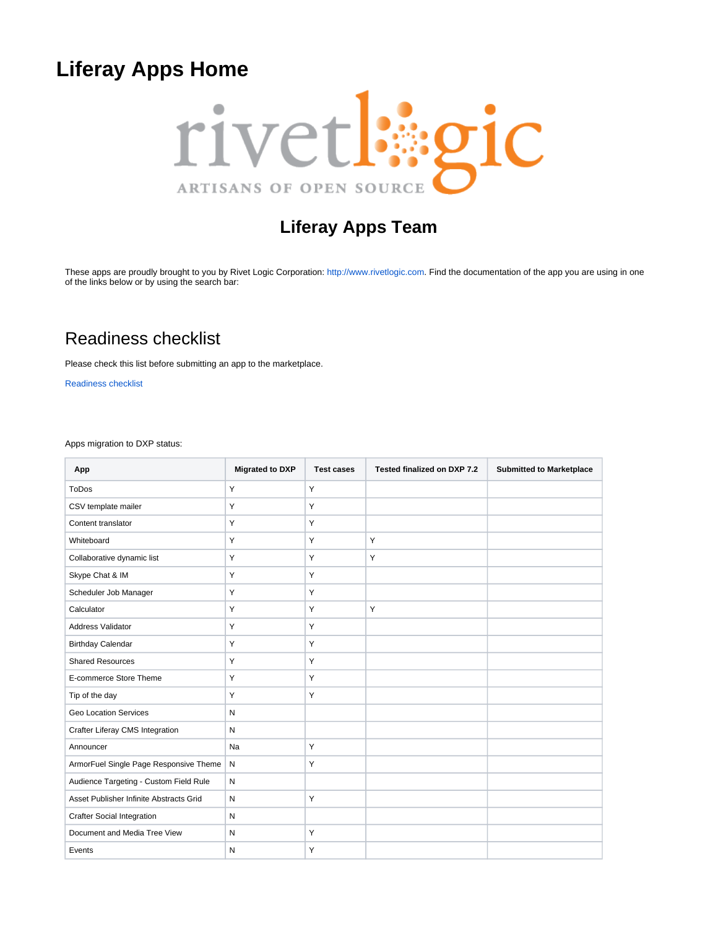# <span id="page-0-0"></span>**Liferay Apps Home**



## **Liferay Apps Team**

These apps are proudly brought to you by Rivet Logic Corporation: [http://www.rivetlogic.com.](http://www.rivetlogic.com) Find the documentation of the app you are using in one of the links below or by using the search bar:

## Readiness checklist

Please check this list before submitting an app to the marketplace.

[Readiness checklist](https://wiki.rivetlogic.com/display/LRA/Readiness+checklist)

Apps migration to DXP status:

| App                                     | <b>Migrated to DXP</b> | <b>Test cases</b> | Tested finalized on DXP 7.2 | <b>Submitted to Marketplace</b> |
|-----------------------------------------|------------------------|-------------------|-----------------------------|---------------------------------|
| <b>ToDos</b>                            | Y                      | Y                 |                             |                                 |
| CSV template mailer                     | Y                      | Y                 |                             |                                 |
| Content translator                      | Y                      | Υ                 |                             |                                 |
| Whiteboard                              | Y                      | Y                 | Y                           |                                 |
| Collaborative dynamic list              | Y                      | Y                 | Y                           |                                 |
| Skype Chat & IM                         | Y                      | Υ                 |                             |                                 |
| Scheduler Job Manager                   | Y                      | Υ                 |                             |                                 |
| Calculator                              | Y                      | Y                 | Y                           |                                 |
| <b>Address Validator</b>                | Y                      | Y                 |                             |                                 |
| <b>Birthday Calendar</b>                | Y                      | Υ                 |                             |                                 |
| <b>Shared Resources</b>                 | Y                      | Y                 |                             |                                 |
| E-commerce Store Theme                  | Y                      | Υ                 |                             |                                 |
| Tip of the day                          | Y                      | Y                 |                             |                                 |
| <b>Geo Location Services</b>            | N                      |                   |                             |                                 |
| Crafter Liferay CMS Integration         | N                      |                   |                             |                                 |
| Announcer                               | Na                     | Y                 |                             |                                 |
| ArmorFuel Single Page Responsive Theme  | $\mathsf{N}$           | Y                 |                             |                                 |
| Audience Targeting - Custom Field Rule  | N                      |                   |                             |                                 |
| Asset Publisher Infinite Abstracts Grid | N                      | Υ                 |                             |                                 |
| <b>Crafter Social Integration</b>       | N                      |                   |                             |                                 |
| Document and Media Tree View            | N                      | Υ                 |                             |                                 |
| Events                                  | N                      | Υ                 |                             |                                 |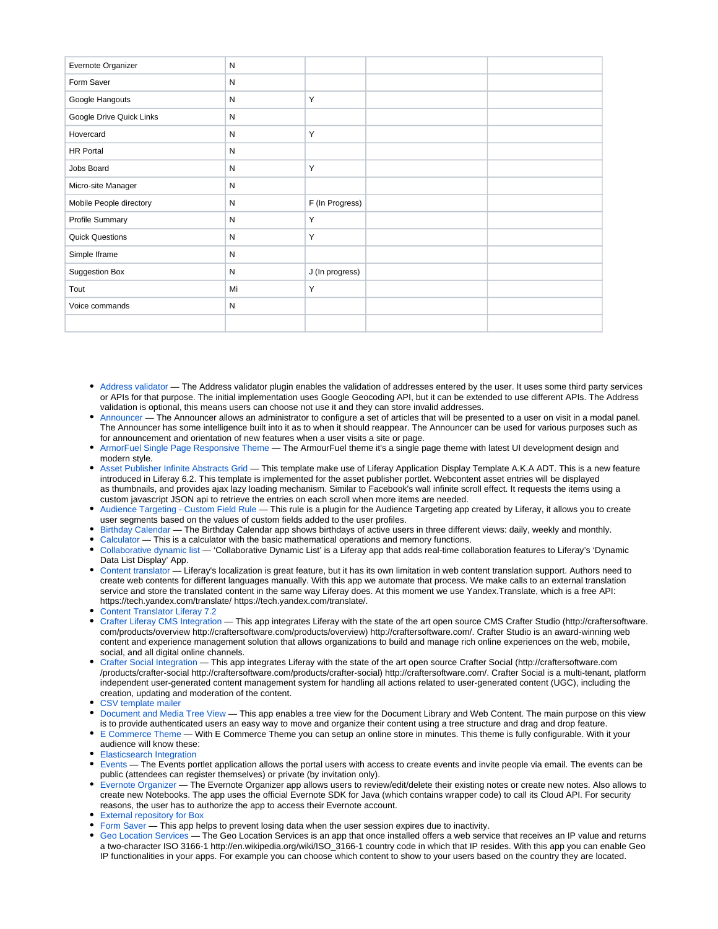| Evernote Organizer       | ${\sf N}$    |                 |  |
|--------------------------|--------------|-----------------|--|
| Form Saver               | ${\sf N}$    |                 |  |
| Google Hangouts          | ${\sf N}$    | Y               |  |
| Google Drive Quick Links | N            |                 |  |
| Hovercard                | ${\sf N}$    | Y               |  |
| <b>HR Portal</b>         | ${\sf N}$    |                 |  |
| Jobs Board               | ${\sf N}$    | Y               |  |
| Micro-site Manager       | ${\sf N}$    |                 |  |
| Mobile People directory  | ${\sf N}$    | F (In Progress) |  |
| Profile Summary          | ${\sf N}$    | Y               |  |
| <b>Quick Questions</b>   | ${\sf N}$    | Y               |  |
| Simple Iframe            | ${\sf N}$    |                 |  |
| Suggestion Box           | N            | J (In progress) |  |
| Tout                     | Mi           | Y               |  |
| Voice commands           | $\mathsf{N}$ |                 |  |
|                          |              |                 |  |

- [Address validator](https://wiki.rivetlogic.com/display/LRA/Address+validator) The Address validator plugin enables the validation of addresses entered by the user. It uses some third party services or APIs for that purpose. The initial implementation uses Google Geocoding API, but it can be extended to use different APIs. The Address validation is optional, this means users can choose not use it and they can store invalid addresses.
- [Announcer](https://wiki.rivetlogic.com/display/LRA/Announcer)  The Announcer allows an administrator to configure a set of articles that will be presented to a user on visit in a modal panel. The Announcer has some intelligence built into it as to when it should reappear. The Announcer can be used for various purposes such as for announcement and orientation of new features when a user visits a site or page.
- [ArmorFuel Single Page Responsive Theme](https://wiki.rivetlogic.com/display/LRA/ArmorFuel+Single+Page+Responsive+Theme)  The ArmourFuel theme it's a single page theme with latest UI development design and modern style.
- [Asset Publisher Infinite Abstracts Grid](https://wiki.rivetlogic.com/display/LRA/Asset+Publisher+Infinite+Abstracts+Grid) This template make use of Liferay Application Display Template A.K.A ADT. This is a new feature introduced in Liferay 6.2. This template is implemented for the asset publisher portlet. Webcontent asset entries will be displayed as thumbnails, and provides ajax lazy loading mechanism. Similar to Facebook's wall infinite scroll effect. It requests the items using a custom javascript JSON api to retrieve the entries on each scroll when more items are needed.
- [Audience Targeting Custom Field Rule](https://wiki.rivetlogic.com/display/LRA/Audience+Targeting+-+Custom+Field+Rule)  This rule is a plugin for the Audience Targeting app created by Liferay, it allows you to create user segments based on the values of custom fields added to the user profiles.
- [Birthday Calendar](https://wiki.rivetlogic.com/display/LRA/Birthday+Calendar)  The Birthday Calendar app shows birthdays of active users in three different views: daily, weekly and monthly.
- [Calculator](https://wiki.rivetlogic.com/display/LRA/Calculator) This is a calculator with the basic mathematical operations and memory functions.
- [Collaborative dynamic list](https://wiki.rivetlogic.com/display/LRA/Collaborative+dynamic+list)  'Collaborative Dynamic List' is a Liferay app that adds real-time collaboration features to Liferay's 'Dynamic Data List Display' App.
- [Content translator](https://wiki.rivetlogic.com/display/LRA/Content+translator) Liferay's localization is great feature, but it has its own limitation in web content translation support. Authors need to create web contents for different languages manually. With this app we automate that process. We make calls to an external translation service and store the translated content in the same way Liferay does. At this moment we use Yandex.Translate, which is a free API: https://tech.yandex.com/translate/ https://tech.yandex.com/translate/.
- [Content Translator Liferay 7.2](https://wiki.rivetlogic.com/display/LRA/Content+Translator+Liferay+7.2)
- [Crafter Liferay CMS Integration](https://wiki.rivetlogic.com/display/LRA/Crafter+Liferay+CMS+Integration) This app integrates Liferay with the state of the art open source CMS Crafter Studio (http://craftersoftware. com/products/overview http://craftersoftware.com/products/overview) http://craftersoftware.com/. Crafter Studio is an award-winning web content and experience management solution that allows organizations to build and manage rich online experiences on the web, mobile, social, and all digital online channels.
- [Crafter Social Integration](https://wiki.rivetlogic.com/display/LRA/Crafter+Social+Integration) This app integrates Liferay with the state of the art open source Crafter Social (http://craftersoftware.com /products/crafter-social http://craftersoftware.com/products/crafter-social) http://craftersoftware.com/. Crafter Social is a multi-tenant, platform independent user-generated content management system for handling all actions related to user-generated content (UGC), including the creation, updating and moderation of the content.
- [CSV template mailer](https://wiki.rivetlogic.com/display/LRA/CSV+template+mailer)
- [Document and Media Tree View](https://wiki.rivetlogic.com/display/LRA/Document+and+Media+Tree+View)  This app enables a tree view for the Document Library and Web Content. The main purpose on this view is to provide authenticated users an easy way to move and organize their content using a tree structure and drag and drop feature.
- [E Commerce Theme](https://wiki.rivetlogic.com/display/LRA/E+Commerce+Theme)  With E Commerce Theme you can setup an online store in minutes. This theme is fully configurable. With it your audience will know these:
- **[Elasticsearch Integration](https://wiki.rivetlogic.com/display/LRA/Elasticsearch+Integration)**
- [Events](https://wiki.rivetlogic.com/display/LRA/Events) The Events portlet application allows the portal users with access to create events and invite people via email. The events can be public (attendees can register themselves) or private (by invitation only).
- [Evernote Organizer](https://wiki.rivetlogic.com/display/LRA/Evernote+Organizer)  The Evernote Organizer app allows users to review/edit/delete their existing notes or create new notes. Also allows to create new Notebooks. The app uses the official Evernote SDK for Java (which contains wrapper code) to call its Cloud API. For security reasons, the user has to authorize the app to access their Evernote account.
- [External repository for Box](https://wiki.rivetlogic.com/display/LRA/External+repository+for+Box)
- [Form Saver](https://wiki.rivetlogic.com/display/LRA/Form+Saver)  This app helps to prevent losing data when the user session expires due to inactivity.
- [Geo Location Services](https://wiki.rivetlogic.com/display/LRA/Geo+Location+Services)  The Geo Location Services is an app that once installed offers a web service that receives an IP value and returns a two-character ISO 3166-1 http://en.wikipedia.org/wiki/ISO\_3166-1 country code in which that IP resides. With this app you can enable Geo IP functionalities in your apps. For example you can choose which content to show to your users based on the country they are located.